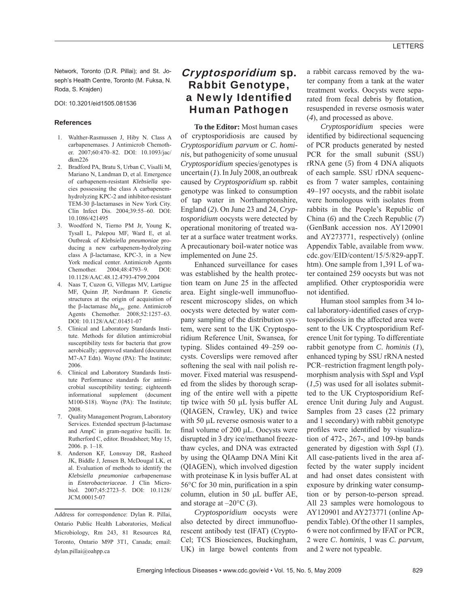Network, Toronto (D.R. Pillai); and St. Joseph's Health Centre, Toronto (M. Fuksa, N. Roda, S. Krajden)

DOI: 10.3201/eid1505.081536

#### **References**

- 1. Walther-Rasmussen J, Hiby N. Class A carbapenemases. J Antimicrob Chemother. 2007;60:470–82. DOI: 10.1093/jac/ dkm226
- 2. Bradford PA, Bratu S, Urban C, Visalli M, Mariano N, Landman D, et al. Emergence of carbapenem-resistant *Klebsiella* species possessing the class A carbapenemhydrolyzing KPC-2 and inhibitor-resistant TEM-30 β-lactamases in New York City. Clin Infect Dis. 2004;39:55–60. DOI: 10.1086/421495
- 3. Woodford N, Tierno PM Jr, Young K, Tysall L, Palepou MF, Ward E, et al. Outbreak of *Klebsiella pneumoniae* producing a new carbapenem-hydrolyzing class A β-lactamase, KPC-3, in a New York medical center. Antimicrob Agents Chemother. 2004;48:4793–9. DOI: 10.1128/AAC.48.12.4793-4799.2004
- 4. Naas T, Cuzon G, Villegas MV, Lartigue MF, Quinn JP, Nordmann P. Genetic structures at the origin of acquisition of the β-lactamase *bla*<sub>KPC</sub> gene. Antimicrob Agents Chemother. 2008;52:1257–63. DOI: 10.1128/AAC.01451-07
- 5. Clinical and Laboratory Standards Institute. Methods for dilution antimicrobial susceptibility tests for bacteria that grow aerobically; approved standard (document M7-A7 Edn). Wayne (PA): The Institute; 2006.
- 6. Clinical and Laboratory Standards Institute Performance standards for antimicrobial susceptibility testing; eighteenth informational supplement (document M100-S18). Wayne (PA): The Institute; 2008.
- 7. Quality Management Program, Laboratory Services. Extended spectrum β-lactamase and AmpC in gram-negative bacilli. In: Rutherford C, editor. Broadsheet; May 15, 2006. p. 1–18.
- 8. Anderson KF, Lonsway DR, Rasheed JK, Biddle J, Jensen B, McDougal LK, et al. Evaluation of methods to identify the *Klebsiella pneumoniae* carbapenemase in *Enterobacteriaceae.* J Clin Microbiol. 2007;45:2723–5. DOI: 10.1128/ JCM.00015-07

Address for correspondence: Dylan R. Pillai, Ontario Public Health Laboratories, Medical Microbiology, Rm 243, 81 Resources Rd, Toronto, Ontario M9P 3T1, Canada; email: dylan.pillai@oahpp.ca

# Cryptosporidium sp. Rabbit Genotype, a Newly Identified Human Pathogen

**To the Editor:** Most human cases of cryptosporidiosis are caused by *Cryptosporidium parvum* or *C*. *hominis*, but pathogenicity of some unusual *Cryptosporidium* species/genotypes is uncertain (*1*). In July 2008, an outbreak caused by *Cryptosporidium* sp. rabbit genotype was linked to consumption of tap water in Northamptonshire, England (*2*). On June 23 and 24, *Cryptosporidium* oocysts were detected by operational monitoring of treated water at a surface water treatment works. A precautionary boil-water notice was implemented on June 25.

Enhanced surveillance for cases was established by the health protection team on June 25 in the affected area. Eight single-well immunofluorescent microscopy slides, on which oocysts were detected by water company sampling of the distribution system, were sent to the UK Cryptosporidium Reference Unit, Swansea, for typing. Slides contained 49–259 oocysts. Coverslips were removed after softening the seal with nail polish remover. Fixed material was resuspended from the slides by thorough scraping of the entire well with a pipette tip twice with 50 μL lysis buffer AL (QIAGEN, Crawley, UK) and twice with 50 μL reverse osmosis water to a final volume of 200  $\mu$ L. Oocysts were disrupted in 3 dry ice/methanol freezethaw cycles, and DNA was extracted by using the QIAamp DNA Mini Kit (QIAGEN), which involved digestion with proteinase K in lysis buffer AL at  $56^{\circ}$ C for 30 min, purification in a spin column, elution in 50 μL buffer AE, and storage at  $-20^{\circ}$ C (3).

*Cryptosporidium* oocysts were also detected by direct immunofluorescent antibody test (IFAT) (Crypto-Cel; TCS Biosciences, Buckingham, UK) in large bowel contents from

a rabbit carcass removed by the water company from a tank at the water treatment works. Oocysts were separated from fecal debris by flotation, resuspended in reverse osmosis water (*4*), and processed as above.

*Cryptosporidium* species were identified by bidirectional sequencing of PCR products generated by nested PCR for the small subunit (SSU) rRNA gene (*5*) from 4 DNA aliquots of each sample. SSU rDNA sequences from 7 water samples, containing 49–197 oocysts, and the rabbit isolate were homologous with isolates from rabbits in the People's Republic of China (*6*) and the Czech Republic (*7*) (GenBank accession nos. AY120901 and AY273771, respectively) (online Appendix Table, available from www. cdc.gov/EID/content/15/5/829-appT. htm). One sample from 1,391 L of water contained 259 oocysts but was not amplified. Other cryptosporidia were not identified.

Human stool samples from 34 local laboratory-identified cases of cryptosporidiosis in the affected area were sent to the UK Cryptosporidium Reference Unit for typing. To differentiate rabbit genotype from *C*. *hominis* (*1*), enhanced typing by SSU rRNA nested PCR–restriction fragment length polymorphism analysis with *Ssp*I and *Vsp*I (*1*,*5*) was used for all isolates submitted to the UK Cryptosporidium Reference Unit during July and August. Samples from 23 cases (22 primary and 1 secondary) with rabbit genotype profiles were identified by visualization of 472-, 267-, and 109-bp bands generated by digestion with *Ssp*I (*1*). All case-patients lived in the area affected by the water supply incident and had onset dates consistent with exposure by drinking water consumption or by person-to-person spread. All 23 samples were homologous to AY120901 and AY273771 (online Appendix Table). Of the other 11 samples, 6 were not confirmed by IFAT or PCR, 2 were *C*. *hominis*, 1 was *C*. *parvum*, and 2 were not typeable.